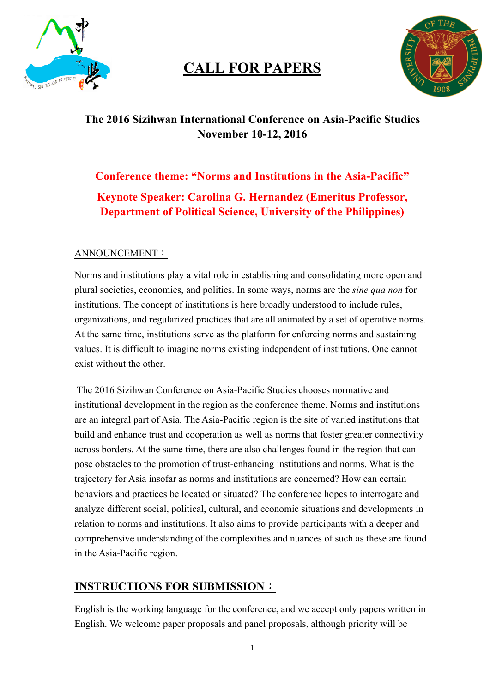

# **CALL FOR PAPERS**



## **The 2016 Sizihwan International Conference on Asia-Pacific Studies November 10-12, 2016**

## **Conference theme: "Norms and Institutions in the Asia-Pacific" Keynote Speaker: Carolina G. Hernandez (Emeritus Professor, Department of Political Science, University of the Philippines)**

#### ANNOUNCEMENT:

Norms and institutions play a vital role in establishing and consolidating more open and plural societies, economies, and polities. In some ways, norms are the *sine qua non* for institutions. The concept of institutions is here broadly understood to include rules, organizations, and regularized practices that are all animated by a set of operative norms. At the same time, institutions serve as the platform for enforcing norms and sustaining values. It is difficult to imagine norms existing independent of institutions. One cannot exist without the other.

The 2016 Sizihwan Conference on Asia-Pacific Studies chooses normative and institutional development in the region as the conference theme. Norms and institutions are an integral part of Asia. The Asia-Pacific region is the site of varied institutions that build and enhance trust and cooperation as well as norms that foster greater connectivity across borders. At the same time, there are also challenges found in the region that can pose obstacles to the promotion of trust-enhancing institutions and norms. What is the trajectory for Asia insofar as norms and institutions are concerned? How can certain behaviors and practices be located or situated? The conference hopes to interrogate and analyze different social, political, cultural, and economic situations and developments in relation to norms and institutions. It also aims to provide participants with a deeper and comprehensive understanding of the complexities and nuances of such as these are found in the Asia-Pacific region.

### **INSTRUCTIONS FOR SUBMISSION**:

English is the working language for the conference, and we accept only papers written in English. We welcome paper proposals and panel proposals, although priority will be